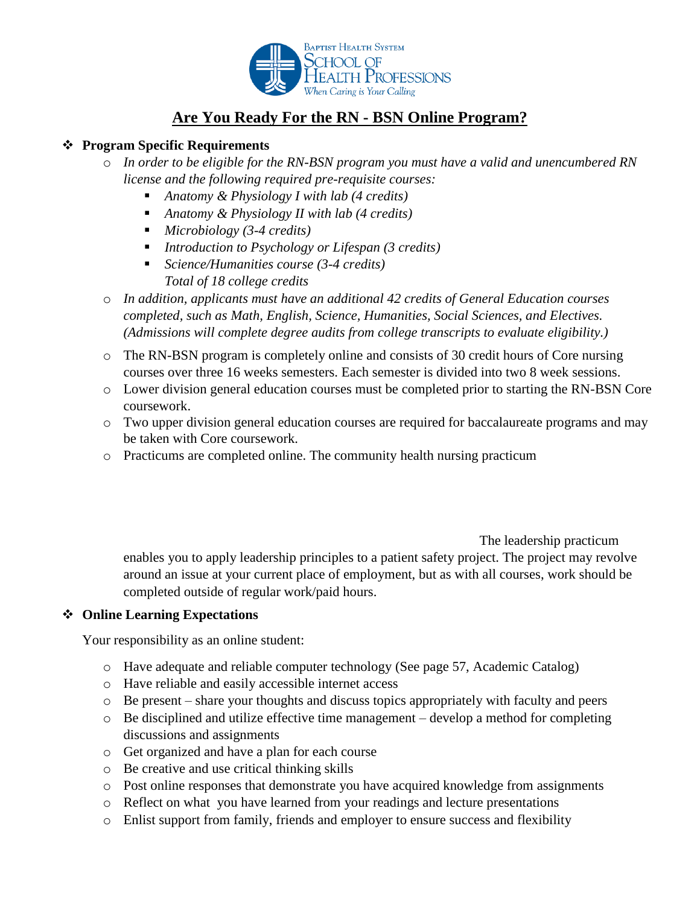

# **Are You Ready For the RN - BSN Online Program?**

#### **Program Specific Requirements**

- o *In order to be eligible for the RN-BSN program you must have a valid and unencumbered RN license and the following required pre-requisite courses:* 
	- *Anatomy & Physiology I with lab (4 credits)*
	- *Anatomy & Physiology II with lab (4 credits)*
	- *Microbiology (3-4 credits)*
	- *Introduction to Psychology or Lifespan (3 credits)*
	- *Science/Humanities course (3-4 credits) Total of 18 college credits*
- o *In addition, applicants must have an additional 42 credits of General Education courses completed, such as Math, English, Science, Humanities, Social Sciences, and Electives. (Admissions will complete degree audits from college transcripts to evaluate eligibility.)*
- o The RN-BSN program is completely online and consists of 30 credit hours of Core nursing courses over three 16 weeks semesters. Each semester is divided into two 8 week sessions.
- o Lower division general education courses must be completed prior to starting the RN-BSN Core coursework.
- o Two upper division general education courses are required for baccalaureate programs and may be taken with Core coursework.
- $\circ$  Practicums are completed online. The community health nursing practicum

The leadership practicum

enables you to apply leadership principles to a patient safety project. The project may revolve around an issue at your current place of employment, but as with all courses, work should be completed outside of regular work/paid hours.

### **Online Learning Expectations**

Your responsibility as an online student:

- o Have adequate and reliable computer technology (See page 57, Academic Catalog)
- o Have reliable and easily accessible internet access
- o Be present share your thoughts and discuss topics appropriately with faculty and peers
- o Be disciplined and utilize effective time management develop a method for completing discussions and assignments
- o Get organized and have a plan for each course
- o Be creative and use critical thinking skills
- o Post online responses that demonstrate you have acquired knowledge from assignments
- o Reflect on what you have learned from your readings and lecture presentations
- o Enlist support from family, friends and employer to ensure success and flexibility